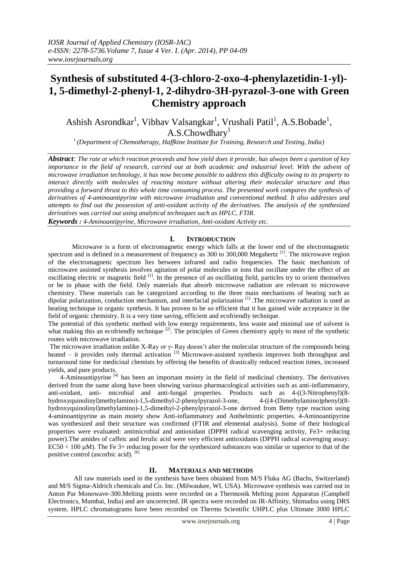# **Synthesis of substituted 4-(3-chloro-2-oxo-4-phenylazetidin-1-yl)- 1, 5-dimethyl-2-phenyl-1, 2-dihydro-3H-pyrazol-3-one with Green Chemistry approach**

Ashish Asrondkar<sup>1</sup>, Vibhav Valsangkar<sup>1</sup>, Vrushali Patil<sup>1</sup>, A.S.Bobade<sup>1</sup>,  $A.S.Chowdharv<sup>1</sup>$ 

*1 (Department of Chemotherapy, Haffkine Institute for Training, Research and Testing, India)*

*Abstract: The rate at which reaction proceeds and how yield does it provide, has always been a question of key importance in the field of research, carried out at both academic and industrial level. With the advent of microwave irradiation technology, it has now become possible to address this difficulty owing to its property to interact directly with molecules of reacting mixture without altering their molecular structure and thus providing a forward thrust to this whole time consuming process. The presented work compares the synthesis of derivatives of 4-aminoantipyrine with microwave irradiation and conventional method. It also addresses and attempts to find out the possession of anti-oxidant activity of the derivatives. The analysis of the synthesized derivatives was carried out using analytical techniques such as HPLC, FTIR.*

*Keywords : 4-Aminoantipyrine, Microwave irradiation, Anti-oxidant Activity etc.*

# **I. INTRODUCTION**

Microwave is a form of electromagnetic energy which falls at the lower end of the electromagnetic spectrum and is defined in a measurement of frequency as 300 to 300,000 Megahertz<sup>[1]</sup>. The microwave region of the electromagnetic spectrum lies between infrared and radio frequencies. The basic mechanism of microwave assisted synthesis involves agitation of polar molecules or ions that oscillate under the effect of an oscillating electric or magnetic field <sup>[1]</sup>. In the presence of an oscillating field, particles try to orient themselves or be in phase with the field. Only materials that absorb microwave radiation are relevant to microwave chemistry. These materials can be categorized according to the three main mechanisms of heating such as dipolar polarization, conduction mechanism, and interfacial polarization <sup>[1]</sup>. The microwave radiation is used as heating technique in organic synthesis. It has proven to be so efficient that it has gained wide acceptance in the field of organic chemistry. It is a very time saving, efficient and ecofriendly technique.

The potential of this synthetic method with low energy requirements, less waste and minimal use of solvent is what making this an ecofriendly technique  $[2]$ . The principles of Green chemistry apply to most of the synthetic routes with microwave irradiation.

The microwave irradiation unlike X-Ray or γ- Ray doesn't alter the molecular structure of the compounds being heated – it provides only thermal activation  $^{[3]}$  Microwave-assisted synthesis improves both throughput and turnaround time for medicinal chemists by offering the benefits of drastically reduced reaction times, increased yields, and pure products.

4-Aminoantipyrine<sup>[4]</sup> has been an important moiety in the field of medicinal chemistry. The derivatives derived from the same along have been showing various pharmacological activities such as anti-inflammatory, anti-oxidant, anti- microbial and anti-fungal properties. Products such as 4-((3-Nitrophenyl)(8-<br>hydroxyquinolinyl)methylamino)-1.5-dimethyl-2-phenylpyrazol-3-one, 4-((4-(Dimethylamino)phenyl)(8hydroxyquinolinyl)methylamino)-1,5-dimethyl-2-phenylpyrazol-3-one, hydroxyquinolinyl)methylamino)-1,5-dimethyl-2-phenylpyrazol-3-one derived from Betty type reaction using 4-aminoantipyrine as main moiety show Anti-inflammatory and Anthelmintic properties. 4-Aminoantipyrine was synthesized and their structure was confirmed (FTIR and elemental analysis). Some of their biological properties were evaluated: antimicrobial and antioxidant (DPPH radical scavenging activity, Fe3+ reducing power).The amides of caffeic and ferulic acid were very efficient antioxidants (DPPH radical scavenging assay:  $EC50 < 100 \mu M$ ). The Fe 3+ reducing power for the synthesized substances was similar or superior to that of the positive control (ascorbic acid).  $[6]$ 

## **II. MATERIALS AND METHODS**

All raw materials used in the synthesis have been obtained from M/S Fluka AG (Bachs, Switzerland) and M/S Sigma-Aldrich chemicals and Co. Inc. (Milwaukee, WI, USA). Microwave synthesis was carried out in Anton Par Monowave-300.Melting points were recorded on a Thermonik Melting point Apparatus (Campbell Electronics, Mumbai, India) and are uncorrected. IR spectra were recorded on IR-Affinity, Shimadzu using DRS system. HPLC chromatograms have been recorded on Thermo Scientific UHPLC plus Ultimate 3000 HPLC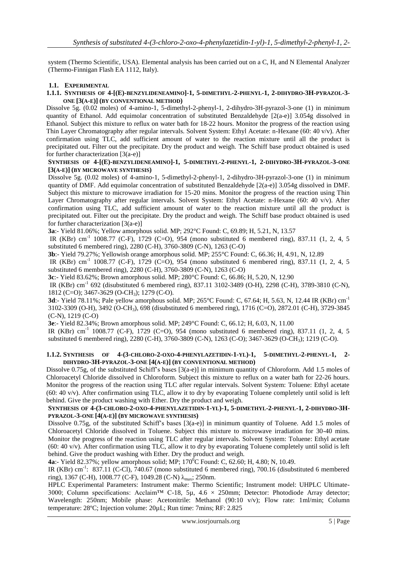system (Thermo Scientific, USA). Elemental analysis has been carried out on a C, H, and N Elemental Analyzer (Thermo-Finnigan Flash EA 1112, Italy).

#### **1.1. EXPERIMENTAL**

#### **1.1.1. SYNTHESIS OF 4-[(E)-BENZYLIDENEAMINO]-1, 5-DIMETHYL-2-PHENYL-1, 2-DIHYDRO-3H-PYRAZOL-3- ONE [3(A-E)] (BY CONVENTIONAL METHOD)**

Dissolve 5g. (0.02 moles) of 4-amino-1, 5-dimethyl-2-phenyl-1, 2-dihydro-3H-pyrazol-3-one (1) in minimum quantity of Ethanol. Add equimolar concentration of substituted Benzaldehyde [2(a-e)] 3.054g dissolved in Ethanol. Subject this mixture to reflux on water bath for 18-22 hours. Monitor the progress of the reaction using Thin Layer Chromatography after regular intervals. Solvent System: Ethyl Acetate: n-Hexane (60: 40 v/v). After confirmation using TLC, add sufficient amount of water to the reaction mixture until all the product is precipitated out. Filter out the precipitate. Dry the product and weigh. The Schiff base product obtained is used for further characterization  $[3(a-e)]$ 

#### **SYNTHESIS OF 4-[(E)-BENZYLIDENEAMINO]-1, 5-DIMETHYL-2-PHENYL-1, 2-DIHYDRO-3H-PYRAZOL-3-ONE [3(A-E)] (BY MICROWAVE SYNTHESIS)**

Dissolve 5g. (0.02 moles) of 4-amino-1, 5-dimethyl-2-phenyl-1, 2-dihydro-3H-pyrazol-3-one (1) in minimum quantity of DMF. Add equimolar concentration of substituted Benzaldehyde [2(a-e)] 3.054g dissolved in DMF. Subject this mixture to microwave irradiation for 15-20 mins. Monitor the progress of the reaction using Thin Layer Chromatography after regular intervals. Solvent System: Ethyl Acetate: n-Hexane (60: 40 v/v). After confirmation using TLC, add sufficient amount of water to the reaction mixture until all the product is precipitated out. Filter out the precipitate. Dry the product and weigh. The Schiff base product obtained is used for further characterization  $[3(a-e)]$ 

**3a**:- Yield 81.06%; Yellow amorphous solid. MP; 292°C Found: C, 69.89; H, 5.21, N, 13.57

IR (KBr) cm<sup>-1</sup> 1008.77 (C-F), 1729 (C=O), 954 (mono substituted 6 membered ring), 837.11 (1, 2, 4, 5 substituted 6 membered ring), 2280 (C-H), 3760-3809 (C-N), 1263 (C-O)

**3b**:- Yield 79.27%; Yellowish orange amorphous solid. MP; 255°C Found: C, 66.36; H, 4.91, N, 12.89

IR (KBr) cm<sup>-1</sup> 1008.77 (C-F), 1729 (C=O), 954 (mono substituted 6 membered ring), 837.11 (1, 2, 4, 5 substituted 6 membered ring), 2280 (C-H), 3760-3809 (C-N), 1263 (C-O)

**3c**:- Yield 83.62%; Brown amorphous solid. MP; 280°C Found: C, 66.86; H, 5.20, N, 12.90

IR (KBr) cm<sup>-1</sup> 692 (disubstituted 6 membered ring), 837.11 3102-3489 (O-H), 2298 (C-H), 3789-3810 (C-N), 1812 (C=O); 3467-3629 (O-CH<sub>3</sub>); 1279 (C-O).

**3d**:- Yield 78.11%; Pale yellow amorphous solid. MP; 265°C Found: C, 67.64; H, 5.63, N, 12.44 IR (KBr) cm-1 3102-3309 (O-H), 3492 (O-CH3), 698 (disubstituted 6 membered ring), 1716 (C=O), 2872.01 (C-H), 3729-3845 (C-N), 1219 (C-O)

**3e**:- Yield 82.34%; Brown amorphous solid. MP; 249°C Found: C, 66.12; H, 6.03, N, 11.00

IR (KBr) cm<sup>-1</sup> 1008.77 (C-F), 1729 (C=O), 954 (mono substituted 6 membered ring), 837.11 (1, 2, 4, 5 substituted 6 membered ring), 2280 (C-H), 3760-3809 (C-N), 1263 (C-O); 3467-3629 (O-CH3); 1219 (C-O).

#### **1.1.2. SYNTHESIS OF 4-(3-CHLORO-2-OXO-4-PHENYLAZETIDIN-1-YL)-1, 5-DIMETHYL-2-PHENYL-1, 2- DIHYDRO-3H-PYRAZOL-3-ONE [4(A-E)] (BY CONVENTIONAL METHOD)**

Dissolve 0.75g, of the substituted Schiff's bases [3(a-e)] in minimum quantity of Chloroform. Add 1.5 moles of Chloroacetyl Chloride dissolved in Chloroform. Subject this mixture to reflux on a water bath for 22-26 hours. Monitor the progress of the reaction using TLC after regular intervals. Solvent System: Toluene: Ethyl acetate (60: 40 v/v). After confirmation using TLC, allow it to dry by evaporating Toluene completely until solid is left behind. Give the product washing with Ether. Dry the product and weigh.

#### SYNTHESIS OF 4-(3-CHLORO-2-OXO-4-PHENYLAZETIDIN-1-YL)-1, 5-DIMETHYL-2-PHENYL-1, 2-DIHYDRO-3H-**PYRAZOL-3-ONE [4(A-E)] (BY MICROWAVE SYNTHESIS)**

Dissolve 0.75g, of the substituted Schiff's bases [3(a-e)] in minimum quantity of Toluene. Add 1.5 moles of Chloroacetyl Chloride dissolved in Toluene. Subject this mixture to microwave irradiation for 30-40 mins. Monitor the progress of the reaction using TLC after regular intervals. Solvent System: Toluene: Ethyl acetate (60: 40 v/v). After confirmation using TLC, allow it to dry by evaporating Toluene completely until solid is left behind. Give the product washing with Ether. Dry the product and weigh.

**4a**:- Yield 82.37%; yellow amorphous solid; MP; 170<sup>o</sup>C Found: C, 62.60; H, 4.80; N, 10.49.

IR (KBr) cm<sup>-1</sup>: 837.11 (C-Cl), 740.67 (mono substituted 6 membered ring), 700.16 (disubstituted 6 membered ring), 1367 (C-H), 1008.77 (C-F), 1049.28 (C-N) λmax; 250nm.

HPLC Experimental Parameters: Instrument make: Thermo Scientific; Instrument model: UHPLC Ultimate-3000; Column specifications: Acclaim™ C-18, 5µ, 4.6 × 250mm; Detector: Photodiode Array detector; Wavelength: 250nm; Mobile phase: Acetonitrile: Methanol (90:10 v/v); Flow rate: 1ml/min; Column temperature: 28ºC; Injection volume: 20µL; Run time: 7mins; RF: 2.825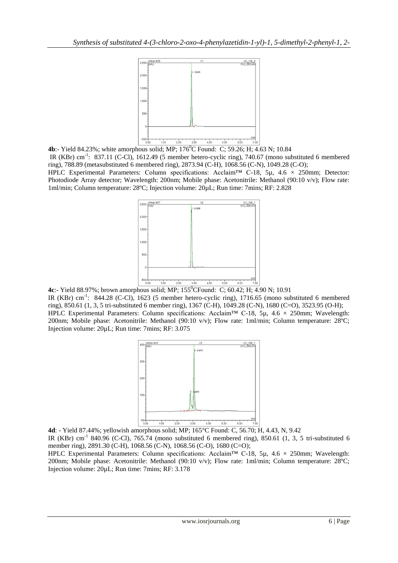

**4b**:- Yield 84.23%; white amorphous solid; MP; 176<sup>0</sup>C Found: C; 59.26; H; 4.63 N; 10.84

IR (KBr) cm<sup>-1</sup>: 837.11 (C-Cl), 1612.49 (5 member hetero-cyclic ring), 740.67 (mono substituted 6 membered ring), 788.89 (metasubstituted 6 membered ring), 2873.94 (C-H), 1068.56 (C-N), 1049.28 (C-O);

HPLC Experimental Parameters: Column specifications: Acclaim<sup>TM</sup> C-18, 5µ, 4.6  $\times$  250mm; Detector: Photodiode Array detector; Wavelength: 200nm; Mobile phase: Acetonitrile: Methanol (90:10 v/v); Flow rate: 1ml/min; Column temperature: 28ºC; Injection volume: 20µL; Run time: 7mins; RF: 2.828



**4c**:- Yield 88.97%; brown amorphous solid; MP; 155<sup>0</sup>CFound: C; 60.42; H; 4.90 N; 10.91 IR (KBr) cm<sup>-1</sup>: 844.28 (C-Cl), 1623 (5 member hetero-cyclic ring), 1716.65 (mono substituted 6 membered ring), 850.61 (1, 3, 5 tri-substituted 6 member ring), 1367 (C-H), 1049.28 (C-N), 1680 (C=O), 3523.95 (O-H); HPLC Experimental Parameters: Column specifications: Acclaim<sup>™</sup> C-18, 5µ, 4.6 × 250mm; Wavelength: 200nm; Mobile phase: Acetonitrile: Methanol (90:10 v/v); Flow rate: 1ml/min; Column temperature: 28ºC; Injection volume: 20µL; Run time: 7mins; RF: 3.075



**4d**: - Yield 87.44%; yellowish amorphous solid; MP; 165°C Found: C, 56.70; H, 4.43, N, 9.42 IR (KBr) cm<sup>-1</sup> 840.96 (C-Cl), 765.74 (mono substituted 6 membered ring), 850.61 (1, 3, 5 tri-substituted 6 member ring), 2891.30 (C-H), 1068.56 (C-N), 1068.56 (C-O), 1680 (C=O);

HPLC Experimental Parameters: Column specifications: Acclaim<sup>™</sup> C-18, 5µ, 4.6 × 250mm; Wavelength: 200nm; Mobile phase: Acetonitrile: Methanol (90:10 v/v); Flow rate: 1ml/min; Column temperature: 28ºC; Injection volume: 20µL; Run time: 7mins; RF: 3.178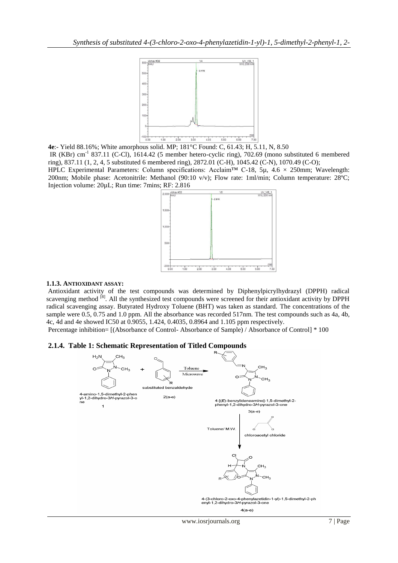

**4e**:- Yield 88.16%; White amorphous solid. MP; 181°C Found: C, 61.43; H, 5.11, N, 8.50 IR (KBr) cm<sup>-1</sup> 837.11 (C-Cl), 1614.42 (5 member hetero-cyclic ring), 702.69 (mono substituted 6 membered

ring), 837.11 (1, 2, 4, 5 substituted 6 membered ring), 2872.01 (C-H), 1045.42 (C-N), 1070.49 (C-O); HPLC Experimental Parameters: Column specifications: Acclaim™ C-18, 5µ, 4.6  $\times$  250mm; Wavelength: 200nm; Mobile phase: Acetonitrile: Methanol (90:10 v/v); Flow rate: 1ml/min; Column temperature: 28ºC; Injection volume: 20µL; Run time: 7mins; RF: 2.816



## **1.1.3. ANTIOXIDANT ASSAY:**

Antioxidant activity of the test compounds was determined by Diphenylpicrylhydrazyl (DPPH) radical scavenging method <sup>[8]</sup>. All the synthesized test compounds were screened for their antioxidant activity by DPPH radical scavenging assay. Butyrated Hydroxy Toluene (BHT) was taken as standard. The concentrations of the sample were 0.5, 0.75 and 1.0 ppm. All the absorbance was recorded 517nm. The test compounds such as 4a, 4b, 4c, 4d and 4e showed IC50 at 0.9055, 1.424, 0.4035, 0.8964 and 1.105 ppm respectively.

Percentage inhibition= [(Absorbance of Control- Absorbance of Sample) / Absorbance of Control] \* 100

## **2.1.4. Table 1: Schematic Representation of Titled Compounds**

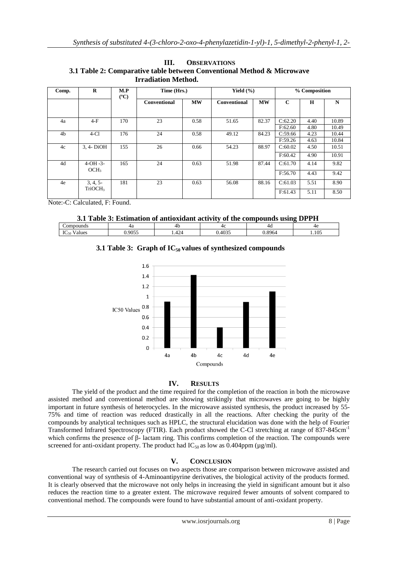|                            | <b>OBSERVATIONS</b>                                                    |
|----------------------------|------------------------------------------------------------------------|
|                            | 3.1 Table 2: Comparative table between Conventional Method & Microwave |
| <b>Irradiation Method.</b> |                                                                        |

| Comp.          | R                              | M.P<br>$(^{\circ}C)$ | Time (Hrs.)  |           | Yield $(\% )$       |           | % Composition |      |       |
|----------------|--------------------------------|----------------------|--------------|-----------|---------------------|-----------|---------------|------|-------|
|                |                                |                      | Conventional | <b>MW</b> | <b>Conventional</b> | <b>MW</b> | $\mathbf C$   | H    | N     |
|                |                                |                      |              |           |                     |           |               |      |       |
| 4a             | $4-F$                          | 170                  | 23           | 0.58      | 51.65               | 82.37     | C:62.20       | 4.40 | 10.89 |
|                |                                |                      |              |           |                     |           | F:62.60       | 4.80 | 10.49 |
| 4 <sub>b</sub> | $4-C1$                         | 176                  | 24           | 0.58      | 49.12               | 84.23     | C:59.66       | 4.23 | 10.44 |
|                |                                |                      |              |           |                     |           | F:59.26       | 4.63 | 10.84 |
| 4c             | 3, 4- DiOH                     | 155                  | 26           | 0.66      | 54.23               | 88.97     | C:60.02       | 4.50 | 10.51 |
|                |                                |                      |              |           |                     |           | F:60.42       | 4.90 | 10.91 |
| 4d             | $4-OH -3-$<br>OCH <sub>3</sub> | 165                  | 24           | 0.63      | 51.98               | 87.44     | C:61.70       | 4.14 | 9.82  |
|                |                                |                      |              |           |                     |           | F:56.70       | 4.43 | 9.42  |
| 4e             | 3, 4, 5                        | 181                  | 23           | 0.63      | 56.08               | 88.16     | C:61.03       | 5.51 | 8.90  |
|                | TriOCH <sub>3</sub>            |                      |              |           |                     |           | F:61.43       | 5.11 | 8.50  |

Note:-C: Calculated, F: Found.

**3.1 Table 3: Estimation of antioxidant activity of the compounds using DPPH**

| $\sim$ $\sim$ $\sim$ $\sim$<br>$\sim$ $ -$<br>oο<br>1.105<br>.<br>- 10<br>the contract of the contract of the contract of |      | гω |  | 4G |  |
|---------------------------------------------------------------------------------------------------------------------------|------|----|--|----|--|
|                                                                                                                           | ىد - |    |  |    |  |

# **3.1 Table 3: Graph of IC<sup>50</sup> values of synthesized compounds**



## **IV. RESULTS**

The yield of the product and the time required for the completion of the reaction in both the microwave assisted method and conventional method are showing strikingly that microwaves are going to be highly important in future synthesis of heterocycles. In the microwave assisted synthesis, the product increased by 55- 75% and time of reaction was reduced drastically in all the reactions. After checking the purity of the compounds by analytical techniques such as HPLC, the structural elucidation was done with the help of Fourier Transformed Infrared Spectroscopy (FTIR). Each product showed the C-Cl stretching at range of 837-845cm<sup>-1</sup> which confirms the presence of β- lactam ring. This confirms completion of the reaction. The compounds were screened for anti-oxidant property. The product had  $IC_{50}$  as low as 0.404ppm ( $\mu$ g/ml).

## **V. CONCLUSION**

The research carried out focuses on two aspects those are comparison between microwave assisted and conventional way of synthesis of 4-Aminoantipyrine derivatives, the biological activity of the products formed. It is clearly observed that the microwave not only helps in increasing the yield in significant amount but it also reduces the reaction time to a greater extent. The microwave required fewer amounts of solvent compared to conventional method. The compounds were found to have substantial amount of anti-oxidant property.